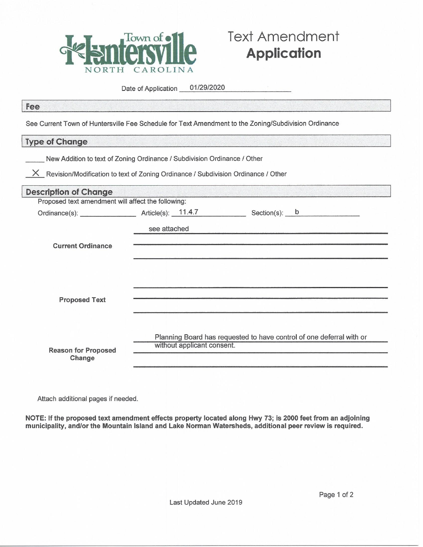

## **Text Amendment Application**

Date of Application 01/29/2020

## Fee

See Current Town of Huntersville Fee Schedule for Text Amendment to the Zoning/Subdivision Ordinance

## Type of Change

| <b>Description of Change</b>                       |              |                            |                                                                      |  |  |
|----------------------------------------------------|--------------|----------------------------|----------------------------------------------------------------------|--|--|
| Proposed text amendment will affect the following: |              |                            |                                                                      |  |  |
|                                                    |              |                            |                                                                      |  |  |
|                                                    | see attached |                            |                                                                      |  |  |
| <b>Current Ordinance</b>                           |              |                            |                                                                      |  |  |
|                                                    |              |                            |                                                                      |  |  |
| <b>Proposed Text</b>                               |              |                            |                                                                      |  |  |
|                                                    |              |                            |                                                                      |  |  |
| <b>Reason for Proposed</b><br>Change               |              | without applicant consent. | Planning Board has requested to have control of one deferral with or |  |  |

Attach additional pages if needed.

NOTE: If the proposed text amendment effects property located along Hwy 73; is 2000 feet from an adjoining municipality, and/or the Mountain Island and Lake Norman Watersheds, additional peer review is required.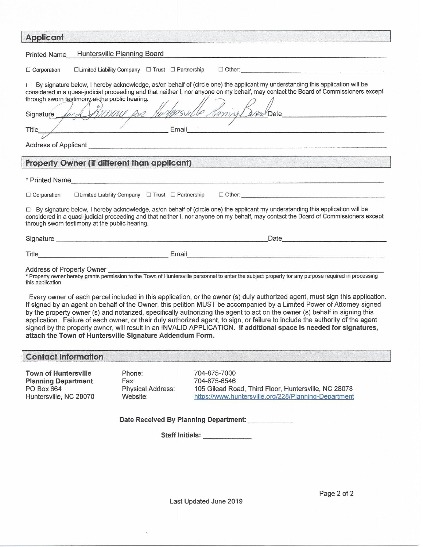| <b>Applicant</b><br>the first state of the control of the control of the control of the control of the control of the control of the                                                                                                                                                                                                                                                                                                                                                                                                                                                                                                                                                                   |                                                                                                                                                                                                                                     |                                                                                                                                              |  |  |  |
|--------------------------------------------------------------------------------------------------------------------------------------------------------------------------------------------------------------------------------------------------------------------------------------------------------------------------------------------------------------------------------------------------------------------------------------------------------------------------------------------------------------------------------------------------------------------------------------------------------------------------------------------------------------------------------------------------------|-------------------------------------------------------------------------------------------------------------------------------------------------------------------------------------------------------------------------------------|----------------------------------------------------------------------------------------------------------------------------------------------|--|--|--|
| Huntersville Planning Board<br><b>Printed Name</b>                                                                                                                                                                                                                                                                                                                                                                                                                                                                                                                                                                                                                                                     |                                                                                                                                                                                                                                     |                                                                                                                                              |  |  |  |
| $\Box$ Limited Liability Company $\Box$ Trust $\Box$ Partnership<br>$\Box$ Corporation                                                                                                                                                                                                                                                                                                                                                                                                                                                                                                                                                                                                                 |                                                                                                                                                                                                                                     |                                                                                                                                              |  |  |  |
| □ By signature below, I hereby acknowledge, as/on behalf of (circle one) the applicant my understanding this application will be<br>considered in a quasi-judicial proceeding and that neither I, nor anyone on my behalf, may contact the Board of Commissioners except<br>through sworn testimony at the public hearing.<br>Annual for Huntgesulle Haring BreakDate<br>Signature Av 2                                                                                                                                                                                                                                                                                                                |                                                                                                                                                                                                                                     |                                                                                                                                              |  |  |  |
| $\frac{1}{1-\frac{1}{1-\frac{1}{1-\frac{1}{1-\frac{1}{1-\frac{1}{1-\frac{1}{1-\frac{1}{1-\frac{1}{1-\frac{1}{1-\frac{1}{1-\frac{1}{1-\frac{1}{1-\frac{1}{1-\frac{1}{1-\frac{1}{1-\frac{1}{1-\frac{1}{1-\frac{1}{1-\frac{1}{1-\frac{1}{1-\frac{1}{1-\frac{1}{1-\frac{1}{1-\frac{1}{1-\frac{1}{1-\frac{1}{1-\frac{1}{1-\frac{1}{1-\frac{1}{1-\frac{1}{1-\frac{1}{1-\frac{1}{1-\frac{1}{1-\frac{1}{1-\frac{1}{1-\frac{1$<br>Email<br>Title                                                                                                                                                                                                                                                                |                                                                                                                                                                                                                                     |                                                                                                                                              |  |  |  |
|                                                                                                                                                                                                                                                                                                                                                                                                                                                                                                                                                                                                                                                                                                        |                                                                                                                                                                                                                                     |                                                                                                                                              |  |  |  |
|                                                                                                                                                                                                                                                                                                                                                                                                                                                                                                                                                                                                                                                                                                        |                                                                                                                                                                                                                                     |                                                                                                                                              |  |  |  |
| <b>Property Owner (if different than applicant)</b>                                                                                                                                                                                                                                                                                                                                                                                                                                                                                                                                                                                                                                                    |                                                                                                                                                                                                                                     |                                                                                                                                              |  |  |  |
|                                                                                                                                                                                                                                                                                                                                                                                                                                                                                                                                                                                                                                                                                                        |                                                                                                                                                                                                                                     |                                                                                                                                              |  |  |  |
| $\Box$ Corporation                                                                                                                                                                                                                                                                                                                                                                                                                                                                                                                                                                                                                                                                                     |                                                                                                                                                                                                                                     |                                                                                                                                              |  |  |  |
| □ By signature below, I hereby acknowledge, as/on behalf of (circle one) the applicant my understanding this application will be<br>considered in a quasi-judicial proceeding and that neither I, nor anyone on my behalf, may contact the Board of Commissioners except<br>through sworn testimony at the public hearing.                                                                                                                                                                                                                                                                                                                                                                             |                                                                                                                                                                                                                                     |                                                                                                                                              |  |  |  |
|                                                                                                                                                                                                                                                                                                                                                                                                                                                                                                                                                                                                                                                                                                        |                                                                                                                                                                                                                                     |                                                                                                                                              |  |  |  |
|                                                                                                                                                                                                                                                                                                                                                                                                                                                                                                                                                                                                                                                                                                        | Title <b>Example 2008</b> Contract Contract Contract Contract Contract Contract Contract Contract Contract Contract Contract Contract Contract Contract Contract Contract Contract Contract Contract Contract Contract Contract Con |                                                                                                                                              |  |  |  |
| Address of Property Owner<br>* Property owner hereby grants permission to the Town of Huntersville personnel to enter the subject property for any purpose required in processing<br>Address of Property Owner<br>this application.                                                                                                                                                                                                                                                                                                                                                                                                                                                                    |                                                                                                                                                                                                                                     |                                                                                                                                              |  |  |  |
| Every owner of each parcel included in this application, or the owner (s) duly authorized agent, must sign this application.<br>If signed by an agent on behalf of the Owner, this petition MUST be accompanied by a Limited Power of Attorney signed<br>by the property owner (s) and notarized, specifically authorizing the agent to act on the owner (s) behalf in signing this<br>application. Failure of each owner, or their duly authorized agent, to sign, or failure to include the authority of the agent<br>signed by the property owner, will result in an INVALID APPLICATION. If additional space is needed for signatures,<br>attach the Town of Huntersville Signature Addendum Form. |                                                                                                                                                                                                                                     |                                                                                                                                              |  |  |  |
| <b>Contact Information</b>                                                                                                                                                                                                                                                                                                                                                                                                                                                                                                                                                                                                                                                                             |                                                                                                                                                                                                                                     |                                                                                                                                              |  |  |  |
| <b>Town of Huntersville</b><br><b>Planning Department</b><br>PO Box 664<br>Huntersville, NC 28070                                                                                                                                                                                                                                                                                                                                                                                                                                                                                                                                                                                                      | Phone:<br>Fax:<br>Physical Address:<br>Website:                                                                                                                                                                                     | 704-875-7000<br>704-875-6546<br>105 Gilead Road, Third Floor, Huntersville, NC 28078<br>https://www.huntersville.org/228/Planning-Department |  |  |  |
| Date Received By Planning Department:                                                                                                                                                                                                                                                                                                                                                                                                                                                                                                                                                                                                                                                                  |                                                                                                                                                                                                                                     |                                                                                                                                              |  |  |  |
| Staff Initials: <b>Staff Initials</b>                                                                                                                                                                                                                                                                                                                                                                                                                                                                                                                                                                                                                                                                  |                                                                                                                                                                                                                                     |                                                                                                                                              |  |  |  |
|                                                                                                                                                                                                                                                                                                                                                                                                                                                                                                                                                                                                                                                                                                        |                                                                                                                                                                                                                                     |                                                                                                                                              |  |  |  |
|                                                                                                                                                                                                                                                                                                                                                                                                                                                                                                                                                                                                                                                                                                        |                                                                                                                                                                                                                                     |                                                                                                                                              |  |  |  |
|                                                                                                                                                                                                                                                                                                                                                                                                                                                                                                                                                                                                                                                                                                        |                                                                                                                                                                                                                                     |                                                                                                                                              |  |  |  |

Last Updated June 2019

Page 2 of 2